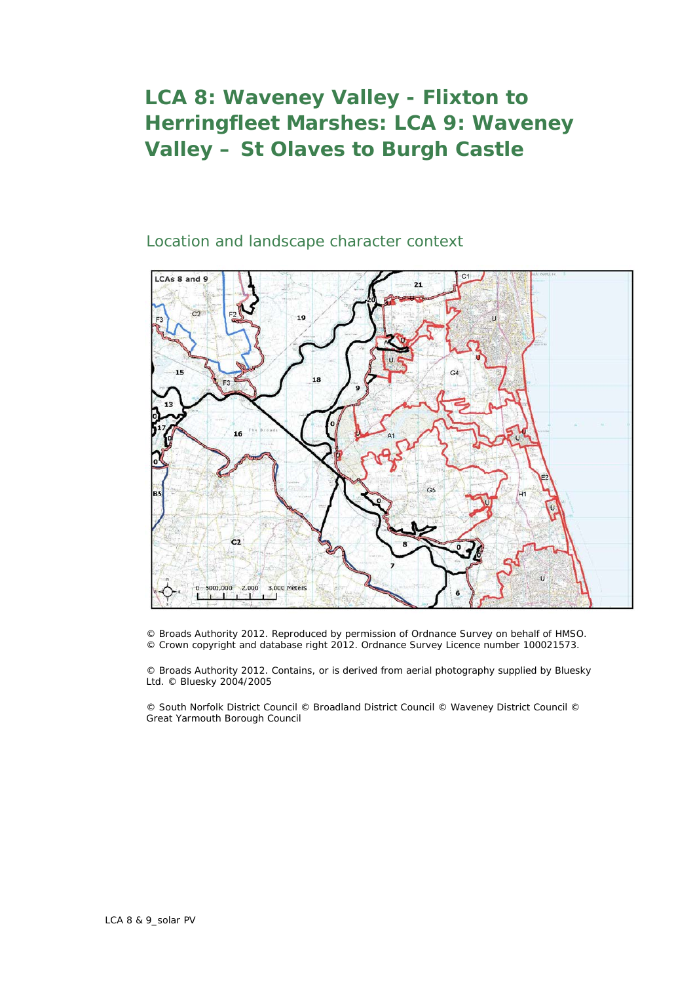## **LCA 8: Waveney Valley - Flixton to Herringfleet Marshes: LCA 9: Waveney Valley – St Olaves to Burgh Castle**

## Location and landscape character context



© Broads Authority 2012. Reproduced by permission of Ordnance Survey on behalf of HMSO. © Crown copyright and database right 2012. Ordnance Survey Licence number 100021573.

© Broads Authority 2012. Contains, or is derived from aerial photography supplied by Bluesky Ltd. © Bluesky 2004/2005

© South Norfolk District Council © Broadland District Council © Waveney District Council © Great Yarmouth Borough Council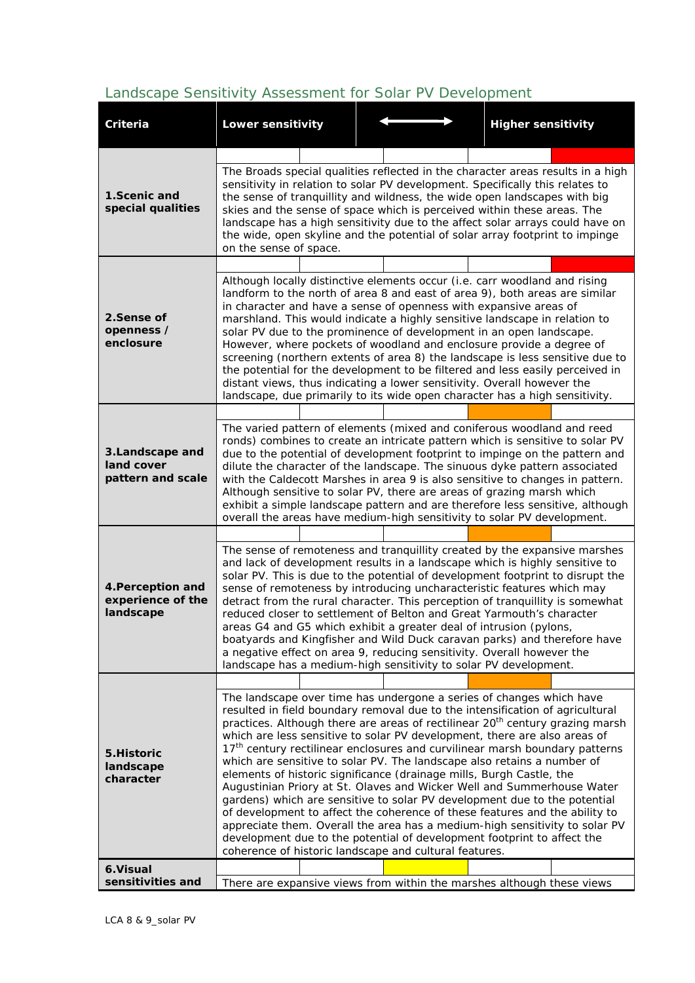## *Landscape Sensitivity Assessment for Solar PV Development*

| Criteria                                            | <b>Lower sensitivity</b>                                                                                                                                                                                                                                                                                                                                                                                                                                                                                                                                                                                                                                                                                                                                                                                                                                                                                                                                                                                                                |  |                                                                                                                                                                                                                                                                                                                                                                                                                                                                                           |  |  | <b>Higher sensitivity</b> |  |
|-----------------------------------------------------|-----------------------------------------------------------------------------------------------------------------------------------------------------------------------------------------------------------------------------------------------------------------------------------------------------------------------------------------------------------------------------------------------------------------------------------------------------------------------------------------------------------------------------------------------------------------------------------------------------------------------------------------------------------------------------------------------------------------------------------------------------------------------------------------------------------------------------------------------------------------------------------------------------------------------------------------------------------------------------------------------------------------------------------------|--|-------------------------------------------------------------------------------------------------------------------------------------------------------------------------------------------------------------------------------------------------------------------------------------------------------------------------------------------------------------------------------------------------------------------------------------------------------------------------------------------|--|--|---------------------------|--|
|                                                     |                                                                                                                                                                                                                                                                                                                                                                                                                                                                                                                                                                                                                                                                                                                                                                                                                                                                                                                                                                                                                                         |  |                                                                                                                                                                                                                                                                                                                                                                                                                                                                                           |  |  |                           |  |
| 1.Scenic and<br>special qualities                   | on the sense of space.                                                                                                                                                                                                                                                                                                                                                                                                                                                                                                                                                                                                                                                                                                                                                                                                                                                                                                                                                                                                                  |  | The Broads special qualities reflected in the character areas results in a high<br>sensitivity in relation to solar PV development. Specifically this relates to<br>the sense of tranquillity and wildness, the wide open landscapes with big<br>skies and the sense of space which is perceived within these areas. The<br>landscape has a high sensitivity due to the affect solar arrays could have on<br>the wide, open skyline and the potential of solar array footprint to impinge |  |  |                           |  |
|                                                     |                                                                                                                                                                                                                                                                                                                                                                                                                                                                                                                                                                                                                                                                                                                                                                                                                                                                                                                                                                                                                                         |  |                                                                                                                                                                                                                                                                                                                                                                                                                                                                                           |  |  |                           |  |
| 2.Sense of<br>openness /<br>enclosure               | Although locally distinctive elements occur (i.e. carr woodland and rising<br>landform to the north of area 8 and east of area 9), both areas are similar<br>in character and have a sense of openness with expansive areas of<br>marshland. This would indicate a highly sensitive landscape in relation to<br>solar PV due to the prominence of development in an open landscape.<br>However, where pockets of woodland and enclosure provide a degree of<br>screening (northern extents of area 8) the landscape is less sensitive due to<br>the potential for the development to be filtered and less easily perceived in<br>distant views, thus indicating a lower sensitivity. Overall however the<br>landscape, due primarily to its wide open character has a high sensitivity.                                                                                                                                                                                                                                                 |  |                                                                                                                                                                                                                                                                                                                                                                                                                                                                                           |  |  |                           |  |
|                                                     |                                                                                                                                                                                                                                                                                                                                                                                                                                                                                                                                                                                                                                                                                                                                                                                                                                                                                                                                                                                                                                         |  |                                                                                                                                                                                                                                                                                                                                                                                                                                                                                           |  |  |                           |  |
| 3.Landscape and<br>land cover<br>pattern and scale  | The varied pattern of elements (mixed and coniferous woodland and reed<br>ronds) combines to create an intricate pattern which is sensitive to solar PV<br>due to the potential of development footprint to impinge on the pattern and<br>dilute the character of the landscape. The sinuous dyke pattern associated<br>with the Caldecott Marshes in area 9 is also sensitive to changes in pattern.<br>Although sensitive to solar PV, there are areas of grazing marsh which<br>exhibit a simple landscape pattern and are therefore less sensitive, although<br>overall the areas have medium-high sensitivity to solar PV development.                                                                                                                                                                                                                                                                                                                                                                                             |  |                                                                                                                                                                                                                                                                                                                                                                                                                                                                                           |  |  |                           |  |
|                                                     |                                                                                                                                                                                                                                                                                                                                                                                                                                                                                                                                                                                                                                                                                                                                                                                                                                                                                                                                                                                                                                         |  |                                                                                                                                                                                                                                                                                                                                                                                                                                                                                           |  |  |                           |  |
| 4. Perception and<br>experience of the<br>landscape | The sense of remoteness and tranquillity created by the expansive marshes<br>and lack of development results in a landscape which is highly sensitive to<br>solar PV. This is due to the potential of development footprint to disrupt the<br>sense of remoteness by introducing uncharacteristic features which may<br>detract from the rural character. This perception of tranquillity is somewhat<br>reduced closer to settlement of Belton and Great Yarmouth's character<br>areas G4 and G5 which exhibit a greater deal of intrusion (pylons,<br>boatyards and Kingfisher and Wild Duck caravan parks) and therefore have<br>a negative effect on area 9, reducing sensitivity. Overall however the<br>landscape has a medium-high sensitivity to solar PV development.                                                                                                                                                                                                                                                          |  |                                                                                                                                                                                                                                                                                                                                                                                                                                                                                           |  |  |                           |  |
|                                                     |                                                                                                                                                                                                                                                                                                                                                                                                                                                                                                                                                                                                                                                                                                                                                                                                                                                                                                                                                                                                                                         |  |                                                                                                                                                                                                                                                                                                                                                                                                                                                                                           |  |  |                           |  |
| 5.Historic<br>landscape<br>character                | The landscape over time has undergone a series of changes which have<br>resulted in field boundary removal due to the intensification of agricultural<br>practices. Although there are areas of rectilinear 20 <sup>th</sup> century grazing marsh<br>which are less sensitive to solar PV development, there are also areas of<br>17 <sup>th</sup> century rectilinear enclosures and curvilinear marsh boundary patterns<br>which are sensitive to solar PV. The landscape also retains a number of<br>elements of historic significance (drainage mills, Burgh Castle, the<br>Augustinian Priory at St. Olaves and Wicker Well and Summerhouse Water<br>gardens) which are sensitive to solar PV development due to the potential<br>of development to affect the coherence of these features and the ability to<br>appreciate them. Overall the area has a medium-high sensitivity to solar PV<br>development due to the potential of development footprint to affect the<br>coherence of historic landscape and cultural features. |  |                                                                                                                                                                                                                                                                                                                                                                                                                                                                                           |  |  |                           |  |
| 6. Visual                                           |                                                                                                                                                                                                                                                                                                                                                                                                                                                                                                                                                                                                                                                                                                                                                                                                                                                                                                                                                                                                                                         |  |                                                                                                                                                                                                                                                                                                                                                                                                                                                                                           |  |  |                           |  |
| sensitivities and                                   | There are expansive views from within the marshes although these views                                                                                                                                                                                                                                                                                                                                                                                                                                                                                                                                                                                                                                                                                                                                                                                                                                                                                                                                                                  |  |                                                                                                                                                                                                                                                                                                                                                                                                                                                                                           |  |  |                           |  |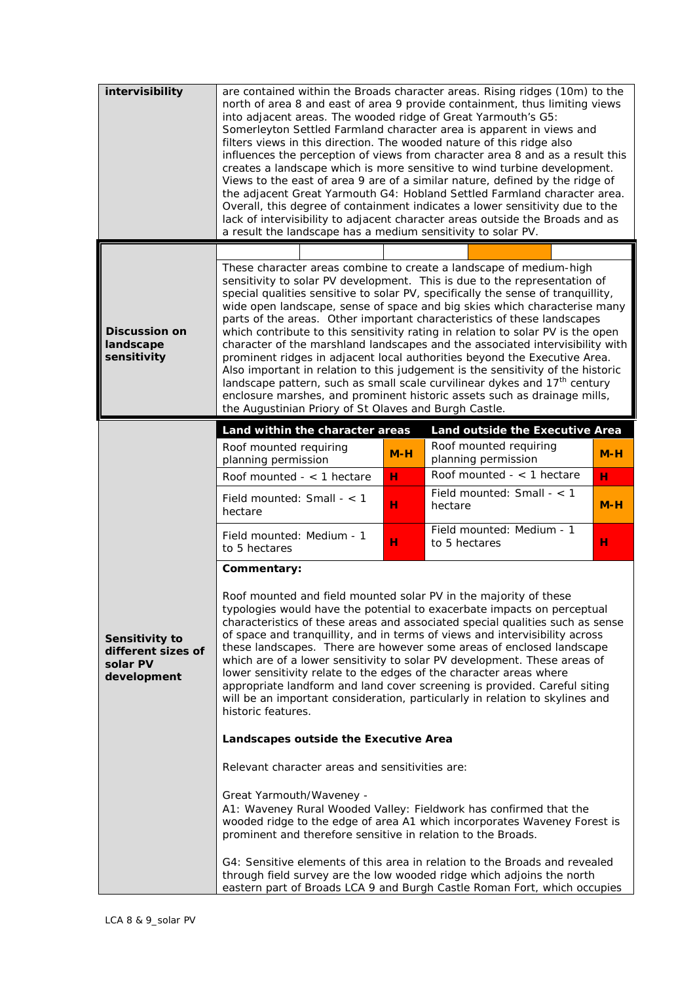| intervisibility                                                 | are contained within the Broads character areas. Rising ridges (10m) to the<br>north of area 8 and east of area 9 provide containment, thus limiting views<br>into adjacent areas. The wooded ridge of Great Yarmouth's G5:<br>Somerleyton Settled Farmland character area is apparent in views and<br>filters views in this direction. The wooded nature of this ridge also<br>influences the perception of views from character area 8 and as a result this<br>creates a landscape which is more sensitive to wind turbine development.<br>Views to the east of area 9 are of a similar nature, defined by the ridge of<br>the adjacent Great Yarmouth G4: Hobland Settled Farmland character area.<br>Overall, this degree of containment indicates a lower sensitivity due to the<br>lack of intervisibility to adjacent character areas outside the Broads and as<br>a result the landscape has a medium sensitivity to solar PV.                        |                                                                                                                                                                                                               |                                               |       |  |  |  |  |
|-----------------------------------------------------------------|---------------------------------------------------------------------------------------------------------------------------------------------------------------------------------------------------------------------------------------------------------------------------------------------------------------------------------------------------------------------------------------------------------------------------------------------------------------------------------------------------------------------------------------------------------------------------------------------------------------------------------------------------------------------------------------------------------------------------------------------------------------------------------------------------------------------------------------------------------------------------------------------------------------------------------------------------------------|---------------------------------------------------------------------------------------------------------------------------------------------------------------------------------------------------------------|-----------------------------------------------|-------|--|--|--|--|
|                                                                 |                                                                                                                                                                                                                                                                                                                                                                                                                                                                                                                                                                                                                                                                                                                                                                                                                                                                                                                                                               |                                                                                                                                                                                                               |                                               |       |  |  |  |  |
| <b>Discussion on</b><br>landscape<br>sensitivity                | These character areas combine to create a landscape of medium-high<br>sensitivity to solar PV development. This is due to the representation of<br>special qualities sensitive to solar PV, specifically the sense of tranquillity,<br>wide open landscape, sense of space and big skies which characterise many<br>parts of the areas. Other important characteristics of these landscapes<br>which contribute to this sensitivity rating in relation to solar PV is the open<br>character of the marshland landscapes and the associated intervisibility with<br>prominent ridges in adjacent local authorities beyond the Executive Area.<br>Also important in relation to this judgement is the sensitivity of the historic<br>landscape pattern, such as small scale curvilinear dykes and 17 <sup>th</sup> century<br>enclosure marshes, and prominent historic assets such as drainage mills,<br>the Augustinian Priory of St Olaves and Burgh Castle. |                                                                                                                                                                                                               |                                               |       |  |  |  |  |
|                                                                 | Land within the character areas                                                                                                                                                                                                                                                                                                                                                                                                                                                                                                                                                                                                                                                                                                                                                                                                                                                                                                                               |                                                                                                                                                                                                               | Land outside the Executive Area               |       |  |  |  |  |
|                                                                 | Roof mounted requiring<br>planning permission                                                                                                                                                                                                                                                                                                                                                                                                                                                                                                                                                                                                                                                                                                                                                                                                                                                                                                                 | $M-H$                                                                                                                                                                                                         | Roof mounted requiring<br>planning permission | $M-H$ |  |  |  |  |
|                                                                 | Roof mounted $-$ < 1 hectare                                                                                                                                                                                                                                                                                                                                                                                                                                                                                                                                                                                                                                                                                                                                                                                                                                                                                                                                  | н                                                                                                                                                                                                             | Roof mounted $-$ < 1 hectare                  | н     |  |  |  |  |
|                                                                 | Field mounted: Small $-$ < 1<br>hectare                                                                                                                                                                                                                                                                                                                                                                                                                                                                                                                                                                                                                                                                                                                                                                                                                                                                                                                       | н                                                                                                                                                                                                             | Field mounted: Small - < 1<br>hectare         | $M-H$ |  |  |  |  |
|                                                                 | Field mounted: Medium - 1<br>to 5 hectares                                                                                                                                                                                                                                                                                                                                                                                                                                                                                                                                                                                                                                                                                                                                                                                                                                                                                                                    | н                                                                                                                                                                                                             | Field mounted: Medium - 1<br>to 5 hectares    | н     |  |  |  |  |
| Sensitivity to<br>different sizes of<br>solar PV<br>development | Commentary:<br>Roof mounted and field mounted solar PV in the majority of these<br>typologies would have the potential to exacerbate impacts on perceptual<br>characteristics of these areas and associated special qualities such as sense<br>of space and tranquillity, and in terms of views and intervisibility across<br>these landscapes. There are however some areas of enclosed landscape<br>which are of a lower sensitivity to solar PV development. These areas of<br>lower sensitivity relate to the edges of the character areas where<br>appropriate landform and land cover screening is provided. Careful siting<br>will be an important consideration, particularly in relation to skylines and<br>historic features.                                                                                                                                                                                                                       |                                                                                                                                                                                                               |                                               |       |  |  |  |  |
|                                                                 | Landscapes outside the Executive Area                                                                                                                                                                                                                                                                                                                                                                                                                                                                                                                                                                                                                                                                                                                                                                                                                                                                                                                         |                                                                                                                                                                                                               |                                               |       |  |  |  |  |
|                                                                 | Relevant character areas and sensitivities are:                                                                                                                                                                                                                                                                                                                                                                                                                                                                                                                                                                                                                                                                                                                                                                                                                                                                                                               |                                                                                                                                                                                                               |                                               |       |  |  |  |  |
|                                                                 | Great Yarmouth/Waveney -                                                                                                                                                                                                                                                                                                                                                                                                                                                                                                                                                                                                                                                                                                                                                                                                                                                                                                                                      | A1: Waveney Rural Wooded Valley: Fieldwork has confirmed that the<br>wooded ridge to the edge of area A1 which incorporates Waveney Forest is<br>prominent and therefore sensitive in relation to the Broads. |                                               |       |  |  |  |  |
|                                                                 | G4: Sensitive elements of this area in relation to the Broads and revealed<br>through field survey are the low wooded ridge which adjoins the north<br>eastern part of Broads LCA 9 and Burgh Castle Roman Fort, which occupies                                                                                                                                                                                                                                                                                                                                                                                                                                                                                                                                                                                                                                                                                                                               |                                                                                                                                                                                                               |                                               |       |  |  |  |  |